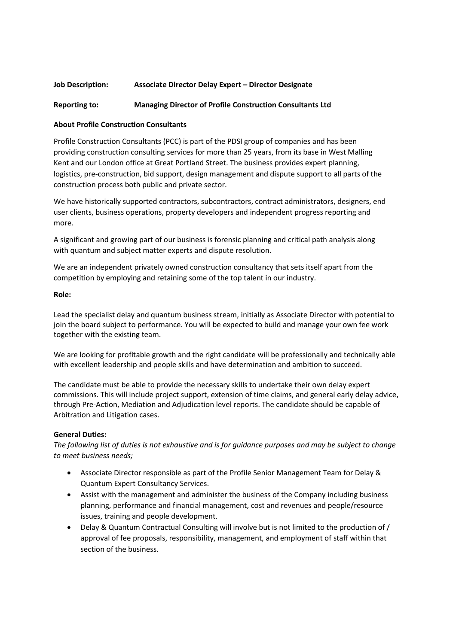# Job Description: Associate Director Delay Expert – Director Designate

# Reporting to: Managing Director of Profile Construction Consultants Ltd

## About Profile Construction Consultants

Profile Construction Consultants (PCC) is part of the PDSI group of companies and has been providing construction consulting services for more than 25 years, from its base in West Malling Kent and our London office at Great Portland Street. The business provides expert planning, logistics, pre-construction, bid support, design management and dispute support to all parts of the construction process both public and private sector.

We have historically supported contractors, subcontractors, contract administrators, designers, end user clients, business operations, property developers and independent progress reporting and more.

A significant and growing part of our business is forensic planning and critical path analysis along with quantum and subject matter experts and dispute resolution.

We are an independent privately owned construction consultancy that sets itself apart from the competition by employing and retaining some of the top talent in our industry.

### Role:

Lead the specialist delay and quantum business stream, initially as Associate Director with potential to join the board subject to performance. You will be expected to build and manage your own fee work together with the existing team.

We are looking for profitable growth and the right candidate will be professionally and technically able with excellent leadership and people skills and have determination and ambition to succeed.

The candidate must be able to provide the necessary skills to undertake their own delay expert commissions. This will include project support, extension of time claims, and general early delay advice, through Pre-Action, Mediation and Adjudication level reports. The candidate should be capable of Arbitration and Litigation cases.

# General Duties:

The following list of duties is not exhaustive and is for guidance purposes and may be subject to change to meet business needs;

- Associate Director responsible as part of the Profile Senior Management Team for Delay & Quantum Expert Consultancy Services.
- Assist with the management and administer the business of the Company including business planning, performance and financial management, cost and revenues and people/resource issues, training and people development.
- Delay & Quantum Contractual Consulting will involve but is not limited to the production of / approval of fee proposals, responsibility, management, and employment of staff within that section of the business.